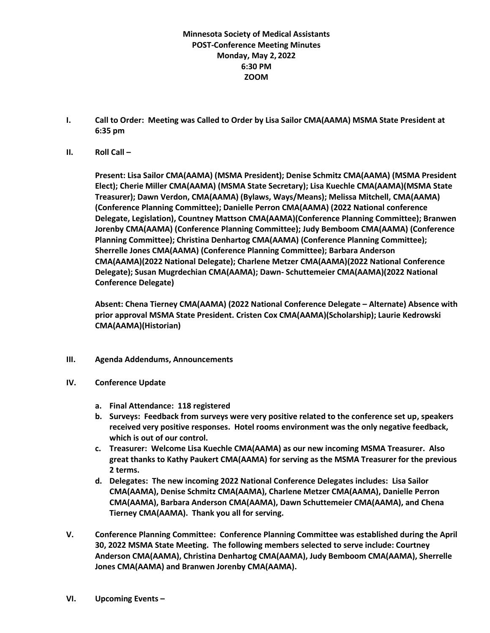**Minnesota Society of Medical Assistants POST-Conference Meeting Minutes Monday, May 2, 2022 6:30 PM ZOOM**

- **I. Call to Order: Meeting was Called to Order by Lisa Sailor CMA(AAMA) MSMA State President at 6:35 pm**
- **II. Roll Call –**

**Present: Lisa Sailor CMA(AAMA) (MSMA President); Denise Schmitz CMA(AAMA) (MSMA President Elect); Cherie Miller CMA(AAMA) (MSMA State Secretary); Lisa Kuechle CMA(AAMA)(MSMA State Treasurer); Dawn Verdon, CMA(AAMA) (Bylaws, Ways/Means); Melissa Mitchell, CMA(AAMA) (Conference Planning Committee); Danielle Perron CMA(AAMA) (2022 National conference Delegate, Legislation), Countney Mattson CMA(AAMA)(Conference Planning Committee); Branwen Jorenby CMA(AAMA) (Conference Planning Committee); Judy Bemboom CMA(AAMA) (Conference Planning Committee); Christina Denhartog CMA(AAMA) (Conference Planning Committee); Sherrelle Jones CMA(AAMA) (Conference Planning Committee); Barbara Anderson CMA(AAMA)(2022 National Delegate); Charlene Metzer CMA(AAMA)(2022 National Conference Delegate); Susan Mugrdechian CMA(AAMA); Dawn- Schuttemeier CMA(AAMA)(2022 National Conference Delegate)**

**Absent: Chena Tierney CMA(AAMA) (2022 National Conference Delegate – Alternate) Absence with prior approval MSMA State President. Cristen Cox CMA(AAMA)(Scholarship); Laurie Kedrowski CMA(AAMA)(Historian)**

- **III. Agenda Addendums, Announcements**
- **IV. Conference Update**
	- **a. Final Attendance: 118 registered**
	- **b. Surveys: Feedback from surveys were very positive related to the conference set up, speakers received very positive responses. Hotel rooms environment was the only negative feedback, which is out of our control.**
	- **c. Treasurer: Welcome Lisa Kuechle CMA(AAMA) as our new incoming MSMA Treasurer. Also great thanks to Kathy Paukert CMA(AAMA) for serving as the MSMA Treasurer for the previous 2 terms.**
	- **d. Delegates: The new incoming 2022 National Conference Delegates includes: Lisa Sailor CMA(AAMA), Denise Schmitz CMA(AAMA), Charlene Metzer CMA(AAMA), Danielle Perron CMA(AAMA), Barbara Anderson CMA(AAMA), Dawn Schuttemeier CMA(AAMA), and Chena Tierney CMA(AAMA). Thank you all for serving.**
- **V. Conference Planning Committee: Conference Planning Committee was established during the April 30, 2022 MSMA State Meeting. The following members selected to serve include: Courtney Anderson CMA(AAMA), Christina Denhartog CMA(AAMA), Judy Bemboom CMA(AAMA), Sherrelle Jones CMA(AAMA) and Branwen Jorenby CMA(AAMA).**